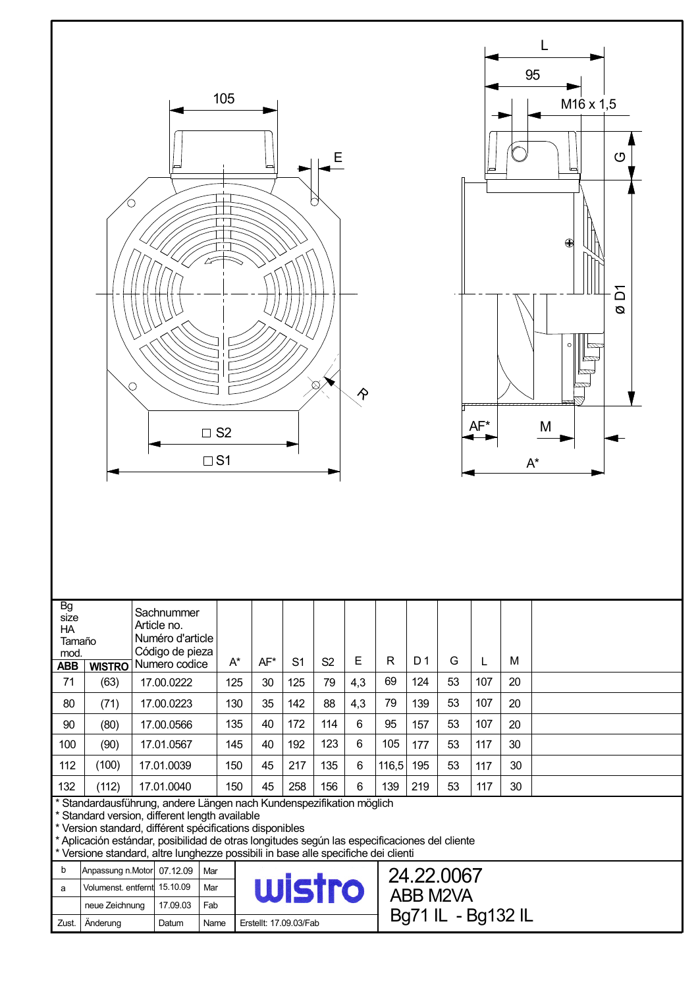



| <b>Bg</b><br>size<br><b>HA</b><br>Tamaño<br>mod. |                                                                                                                    | Sachnummer<br>Article no.<br>Numéro d'article<br>Código de pieza<br>Numero codice |       |     |                |                | Ε   |       | D <sub>1</sub> |    |     |    |  |
|--------------------------------------------------|--------------------------------------------------------------------------------------------------------------------|-----------------------------------------------------------------------------------|-------|-----|----------------|----------------|-----|-------|----------------|----|-----|----|--|
| <b>ABB</b>                                       | <b>WISTRO</b>                                                                                                      |                                                                                   | $A^*$ | AF* | S <sub>1</sub> | S <sub>2</sub> |     | R     |                | G  |     | M  |  |
| 71                                               | (63)                                                                                                               | 17.00.0222                                                                        | 125   | 30  | 125            | 79             | 4,3 | 69    | 124            | 53 | 107 | 20 |  |
| 80                                               | (71)                                                                                                               | 17.00.0223                                                                        | 130   | 35  | 142            | 88             | 4,3 | 79    | 139            | 53 | 107 | 20 |  |
| 90                                               | (80)                                                                                                               | 17.00.0566                                                                        | 135   | 40  | 172            | 114            | 6   | 95    | 157            | 53 | 107 | 20 |  |
| 100                                              | (90)                                                                                                               | 17.01.0567                                                                        | 145   | 40  | 192            | 123            | 6   | 105   | 177            | 53 | 117 | 30 |  |
| 112                                              | (100)                                                                                                              | 17.01.0039                                                                        | 150   | 45  | 217            | 135            | 6   | 116,5 | 195            | 53 | 117 | 30 |  |
| 132                                              | (112)                                                                                                              | 17.01.0040                                                                        | 150   | 45  | 258            | 156            | 6   | 139   | 219            | 53 | 117 | 30 |  |
|                                                  | Standardausführung, andere Längen nach Kundenspezifikation möglich<br>Standard version, different length available |                                                                                   |       |     |                |                |     |       |                |    |     |    |  |

\* Version standard, différent spécifications disponibles

\* Aplicación estándar, posibilidad de otras longitudes según las especificaciones del cliente

\* Versione standard, altre lunghezze possibili in base alle specifiche dei clienti

| b     | Anpassung n.Motor 07.12.09   |          | Mar  |                        |
|-------|------------------------------|----------|------|------------------------|
| a     | Volumenst. entfernt 15.10.09 |          | Mar  | Tro                    |
|       | neue Zeichnung               | 17.09.03 | Fab  |                        |
| Zust. | Anderung                     | Datum    | Name | Erstellt: 17.09.03/Fab |

24.22.0067 ABB M2VA Bg71 IL - Bg132 IL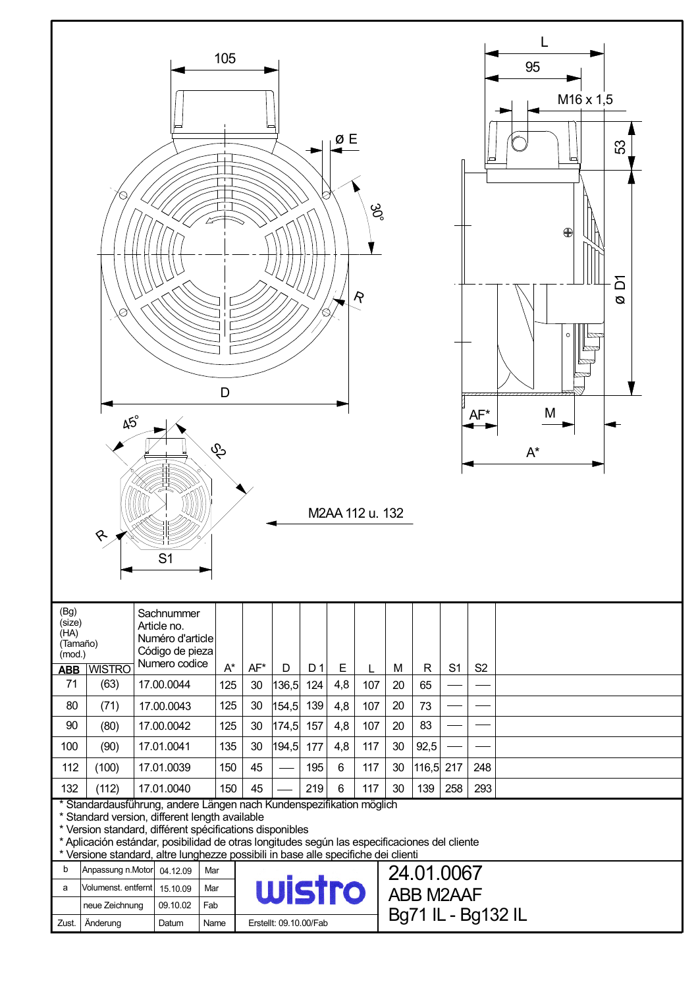| 105<br>95<br>M16 x 1,5<br>ØΕ<br>S3<br>Ø,<br>ಜ್ಧ<br>$\bigoplus$<br>δ<br>$\mathcal{R}$<br>Ø<br>$\circ$<br>∞<br>pada<br><u>mm</u><br>D<br>M<br>AF*<br>$45^\circ$<br>$\hat{c}$<br>$\mathsf{A}^{\star}$<br>M2AA 112 u. 132<br>᠙<br>S <sub>1</sub>                                                                                                                              |                                      |  |                                               |             |       |                        |       |                |     |     |                    |              |                |                |  |  |
|---------------------------------------------------------------------------------------------------------------------------------------------------------------------------------------------------------------------------------------------------------------------------------------------------------------------------------------------------------------------------|--------------------------------------|--|-----------------------------------------------|-------------|-------|------------------------|-------|----------------|-----|-----|--------------------|--------------|----------------|----------------|--|--|
| (Bg)<br>(size)<br>(HA)<br>(Tamaño)                                                                                                                                                                                                                                                                                                                                        |                                      |  | Sachnummer<br>Article no.<br>Numéro d'article |             |       |                        |       |                |     |     |                    |              |                |                |  |  |
| (mod.)<br><b>ABB</b>                                                                                                                                                                                                                                                                                                                                                      | <b>WISTRO</b>                        |  | Código de pieza<br>Numero codice              |             | $A^*$ | $AF*$                  | D     | D <sub>1</sub> | Е   | L   | M                  | $\mathsf{R}$ | S <sub>1</sub> | S <sub>2</sub> |  |  |
| 71                                                                                                                                                                                                                                                                                                                                                                        | (63)                                 |  | 17.00.0044                                    |             | 125   | 30                     | 136,5 | 124            | 4,8 | 107 | 20                 | 65           |                |                |  |  |
| 80                                                                                                                                                                                                                                                                                                                                                                        | (71)                                 |  | 17.00.0043                                    |             | 125   | 30                     | 154,5 | 139            | 4,8 | 107 | 20                 | 73           |                |                |  |  |
| 90                                                                                                                                                                                                                                                                                                                                                                        | (80)                                 |  | 17.00.0042                                    |             | 125   | 30                     | 174,5 | 157            | 4,8 | 107 | 20                 | 83           |                |                |  |  |
| 100                                                                                                                                                                                                                                                                                                                                                                       | (90)                                 |  | 17.01.0041                                    |             | 135   | 30                     | 194,5 | 177            | 4,8 | 117 | 30                 | 92,5         |                |                |  |  |
| 112                                                                                                                                                                                                                                                                                                                                                                       | (100)                                |  | 17.01.0039                                    |             | 150   | 45                     |       | 195            | 6   | 117 | 30                 | 116,5 217    |                | 248            |  |  |
| 132                                                                                                                                                                                                                                                                                                                                                                       | (112)                                |  | 17.01.0040                                    |             | 150   | 45                     |       | 219            | 6   | 117 | 30                 | 139          | 258            | 293            |  |  |
| * Standardausführung, andere Längen nach Kundenspezifikation möglich<br>* Standard version, different length available<br>* Version standard, différent spécifications disponibles<br>* Aplicación estándar, posibilidad de otras longitudes según las especificaciones del cliente<br>* Versione standard, altre lunghezze possibili in base alle specifiche dei clienti |                                      |  |                                               |             |       |                        |       |                |     |     |                    |              |                |                |  |  |
| b                                                                                                                                                                                                                                                                                                                                                                         | Anpassung n.Motor<br>04.12.09<br>Mar |  |                                               |             |       |                        |       |                |     |     |                    | 24.01.0067   |                |                |  |  |
| a                                                                                                                                                                                                                                                                                                                                                                         | Volumenst. entfernt<br>15.10.09      |  |                                               |             | Mar   | wistro                 |       |                |     |     | <b>ABB M2AAF</b>   |              |                |                |  |  |
| Zust.                                                                                                                                                                                                                                                                                                                                                                     | neue Zeichnung<br>Änderung           |  | 09.10.02<br>Datum                             | Fab<br>Name |       | Erstellt: 09.10.00/Fab |       |                |     |     | Bg71 IL - Bg132 IL |              |                |                |  |  |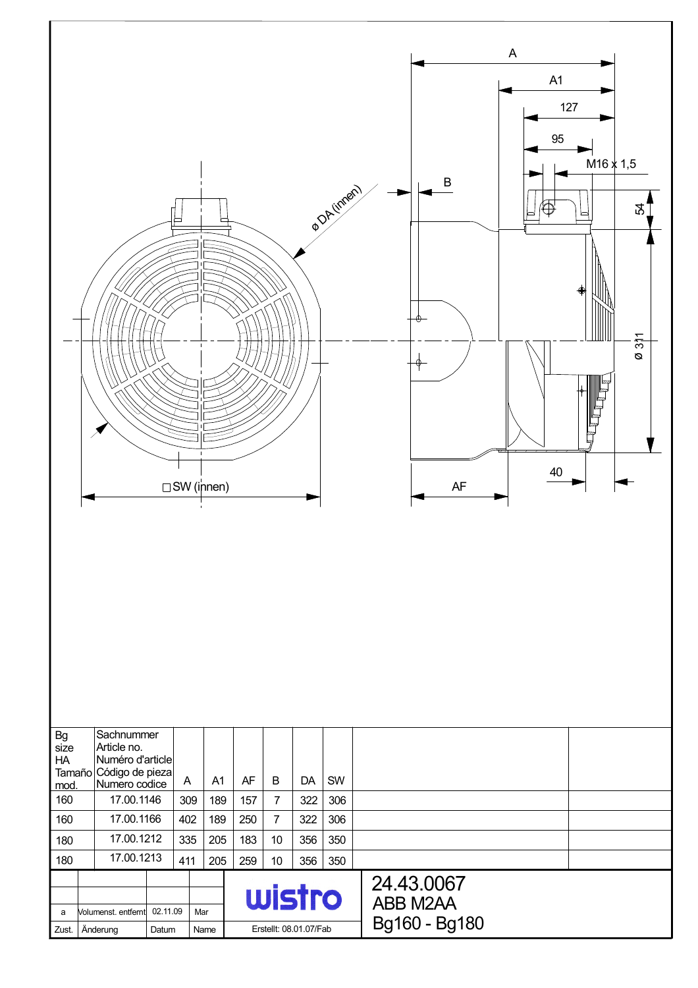